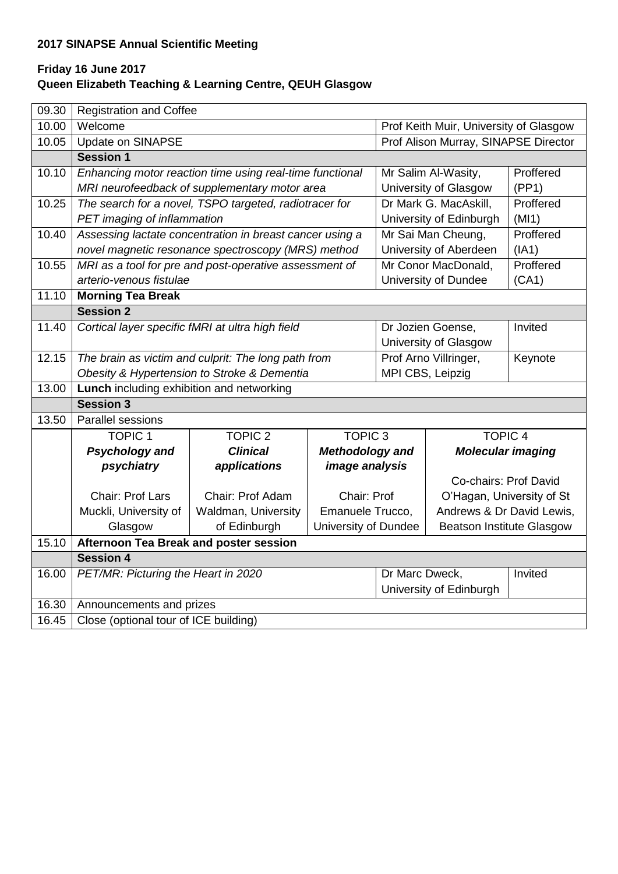# **2017 SINAPSE Annual Scientific Meeting**

## **Friday 16 June 2017 Queen Elizabeth Teaching & Learning Centre, QEUH Glasgow**

| 09.30 | <b>Registration and Coffee</b>                                  |                                                          |                        |                                        |                                  |           |
|-------|-----------------------------------------------------------------|----------------------------------------------------------|------------------------|----------------------------------------|----------------------------------|-----------|
| 10.00 | Welcome                                                         |                                                          |                        | Prof Keith Muir, University of Glasgow |                                  |           |
| 10.05 | Update on SINAPSE                                               |                                                          |                        | Prof Alison Murray, SINAPSE Director   |                                  |           |
|       | <b>Session 1</b>                                                |                                                          |                        |                                        |                                  |           |
| 10.10 |                                                                 | Enhancing motor reaction time using real-time functional |                        |                                        | Mr Salim Al-Wasity,              | Proffered |
|       |                                                                 | MRI neurofeedback of supplementary motor area            |                        | University of Glasgow                  |                                  | (PP1)     |
| 10.25 |                                                                 | The search for a novel, TSPO targeted, radiotracer for   |                        | Dr Mark G. MacAskill,                  |                                  | Proffered |
|       | PET imaging of inflammation                                     |                                                          |                        | University of Edinburgh                |                                  | (MI1)     |
| 10.40 |                                                                 | Assessing lactate concentration in breast cancer using a |                        | Mr Sai Man Cheung,                     |                                  | Proffered |
|       |                                                                 | novel magnetic resonance spectroscopy (MRS) method       |                        | University of Aberdeen                 |                                  | (IA1)     |
| 10.55 |                                                                 | MRI as a tool for pre and post-operative assessment of   |                        |                                        | Proffered<br>Mr Conor MacDonald, |           |
|       | arterio-venous fistulae                                         |                                                          |                        |                                        | University of Dundee<br>(CA1)    |           |
| 11.10 | <b>Morning Tea Break</b>                                        |                                                          |                        |                                        |                                  |           |
|       | <b>Session 2</b>                                                |                                                          |                        |                                        |                                  |           |
| 11.40 | Cortical layer specific fMRI at ultra high field                |                                                          |                        | Dr Jozien Goense,                      |                                  | Invited   |
|       | University of Glasgow                                           |                                                          |                        |                                        |                                  |           |
| 12.15 |                                                                 | The brain as victim and culprit: The long path from      |                        |                                        | Prof Arno Villringer,            | Keynote   |
|       | Obesity & Hypertension to Stroke & Dementia<br>MPI CBS, Leipzig |                                                          |                        |                                        |                                  |           |
| 13.00 | Lunch including exhibition and networking                       |                                                          |                        |                                        |                                  |           |
|       | <b>Session 3</b>                                                |                                                          |                        |                                        |                                  |           |
| 13.50 | Parallel sessions                                               |                                                          |                        |                                        |                                  |           |
|       | <b>TOPIC 1</b>                                                  | <b>TOPIC 2</b>                                           | <b>TOPIC 3</b>         |                                        | <b>TOPIC 4</b>                   |           |
|       | <b>Psychology and</b>                                           | <b>Clinical</b>                                          | <b>Methodology and</b> |                                        | <b>Molecular imaging</b>         |           |
|       | psychiatry                                                      | applications                                             | <i>image analysis</i>  |                                        |                                  |           |
|       |                                                                 |                                                          |                        |                                        | Co-chairs: Prof David            |           |
|       | Chair: Prof Lars                                                | Chair: Prof Adam                                         | Chair: Prof            |                                        | O'Hagan, University of St        |           |
|       | Muckli, University of                                           | Waldman, University                                      | Emanuele Trucco,       |                                        | Andrews & Dr David Lewis,        |           |
|       | Glasgow                                                         | of Edinburgh                                             | University of Dundee   |                                        | <b>Beatson Institute Glasgow</b> |           |
| 15.10 | Afternoon Tea Break and poster session                          |                                                          |                        |                                        |                                  |           |
|       | <b>Session 4</b>                                                |                                                          |                        |                                        |                                  |           |
| 16.00 | PET/MR: Picturing the Heart in 2020                             |                                                          |                        | Dr Marc Dweck,<br>Invited              |                                  |           |
|       |                                                                 |                                                          |                        | University of Edinburgh                |                                  |           |
| 16.30 | Announcements and prizes                                        |                                                          |                        |                                        |                                  |           |
| 16.45 | Close (optional tour of ICE building)                           |                                                          |                        |                                        |                                  |           |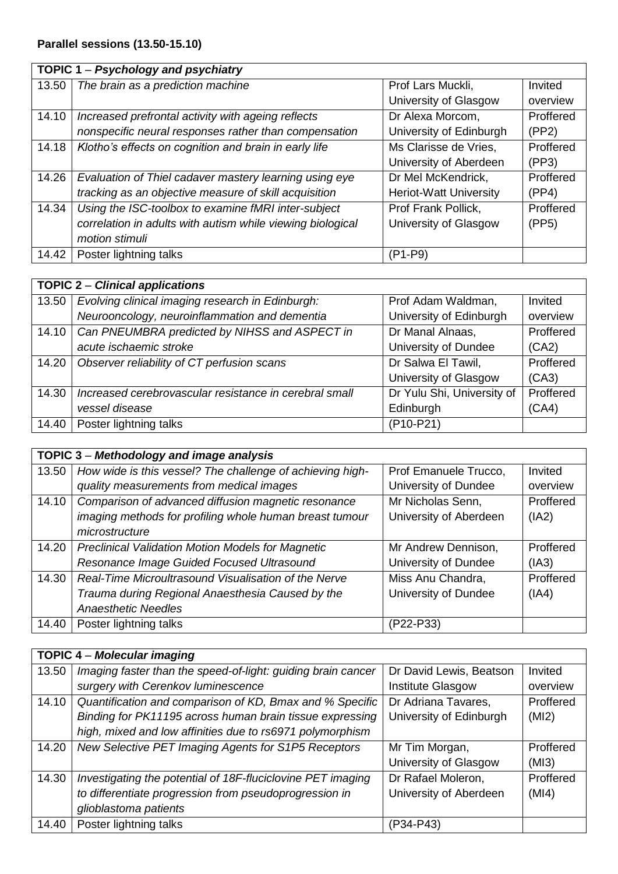## **TOPIC 1** – *Psychology and psychiatry*

|       | , of the case of the potential f                           |                               |           |
|-------|------------------------------------------------------------|-------------------------------|-----------|
| 13.50 | The brain as a prediction machine                          | Prof Lars Muckli,             | Invited   |
|       |                                                            | University of Glasgow         | overview  |
| 14.10 | Increased prefrontal activity with ageing reflects         | Dr Alexa Morcom,              | Proffered |
|       | nonspecific neural responses rather than compensation      | University of Edinburgh       | (PP2)     |
| 14.18 | Klotho's effects on cognition and brain in early life      | Ms Clarisse de Vries,         | Proffered |
|       |                                                            | University of Aberdeen        | (PP3)     |
| 14.26 | Evaluation of Thiel cadaver mastery learning using eye     | Dr Mel McKendrick,            | Proffered |
|       | tracking as an objective measure of skill acquisition      | <b>Heriot-Watt University</b> | (PP4)     |
| 14.34 | Using the ISC-toolbox to examine fMRI inter-subject        | Prof Frank Pollick,           | Proffered |
|       | correlation in adults with autism while viewing biological | University of Glasgow         | (PP5)     |
|       | motion stimuli                                             |                               |           |
| 14.42 | Poster lightning talks                                     | (P1-P9)                       |           |

#### **TOPIC 2** – *Clinical applications* 13.50 *Evolving clinical imaging research in Edinburgh: Neurooncology, neuroinflammation and dementia* Prof Adam Waldman, University of Edinburgh Invited overview 14.10 *Can PNEUMBRA predicted by NIHSS and ASPECT in acute ischaemic stroke* Dr Manal Alnaas, University of Dundee Proffered (CA2) 14.20 Observer reliability of CT perfusion scans **Discussed Disk Preference I** Dr Salwa El Tawil, University of Glasgow **Proffered** (CA3) 14.30 *Increased cerebrovascular resistance in cerebral small vessel disease* Dr Yulu Shi, University of Edinburgh **Proffered** (CA4) 14.40 Poster lightning talks (P10-P21)

|       | TOPIC 3 - Methodology and image analysis                  |                        |           |
|-------|-----------------------------------------------------------|------------------------|-----------|
| 13.50 | How wide is this vessel? The challenge of achieving high- | Prof Emanuele Trucco,  | Invited   |
|       | quality measurements from medical images                  | University of Dundee   | overview  |
| 14.10 | Comparison of advanced diffusion magnetic resonance       | Mr Nicholas Senn,      | Proffered |
|       | imaging methods for profiling whole human breast tumour   | University of Aberdeen | (IA2)     |
|       | microstructure                                            |                        |           |
| 14.20 | <b>Preclinical Validation Motion Models for Magnetic</b>  | Mr Andrew Dennison,    | Proffered |
|       | Resonance Image Guided Focused Ultrasound                 | University of Dundee   | (IA3)     |
| 14.30 | Real-Time Microultrasound Visualisation of the Nerve      | Miss Anu Chandra,      | Proffered |
|       | Trauma during Regional Anaesthesia Caused by the          | University of Dundee   | (IAA)     |
|       | <b>Anaesthetic Needles</b>                                |                        |           |
| 14.40 | Poster lightning talks                                    | (P22-P33)              |           |

|       | <b>TOPIC 4 - Molecular imaging</b>                           |                         |           |
|-------|--------------------------------------------------------------|-------------------------|-----------|
| 13.50 | Imaging faster than the speed-of-light: guiding brain cancer | Dr David Lewis, Beatson | Invited   |
|       | surgery with Cerenkov luminescence                           | Institute Glasgow       | overview  |
| 14.10 | Quantification and comparison of KD, Bmax and % Specific     | Dr Adriana Tavares,     | Proffered |
|       | Binding for PK11195 across human brain tissue expressing     | University of Edinburgh | (MI2)     |
|       | high, mixed and low affinities due to rs6971 polymorphism    |                         |           |
| 14.20 | New Selective PET Imaging Agents for S1P5 Receptors          | Mr Tim Morgan,          | Proffered |
|       |                                                              | University of Glasgow   | (MI3)     |
| 14.30 | Investigating the potential of 18F-fluciclovine PET imaging  | Dr Rafael Moleron,      | Proffered |
|       | to differentiate progression from pseudoprogression in       | University of Aberdeen  | (MI4)     |
|       | glioblastoma patients                                        |                         |           |
| 14.40 | Poster lightning talks                                       | (P34-P43)               |           |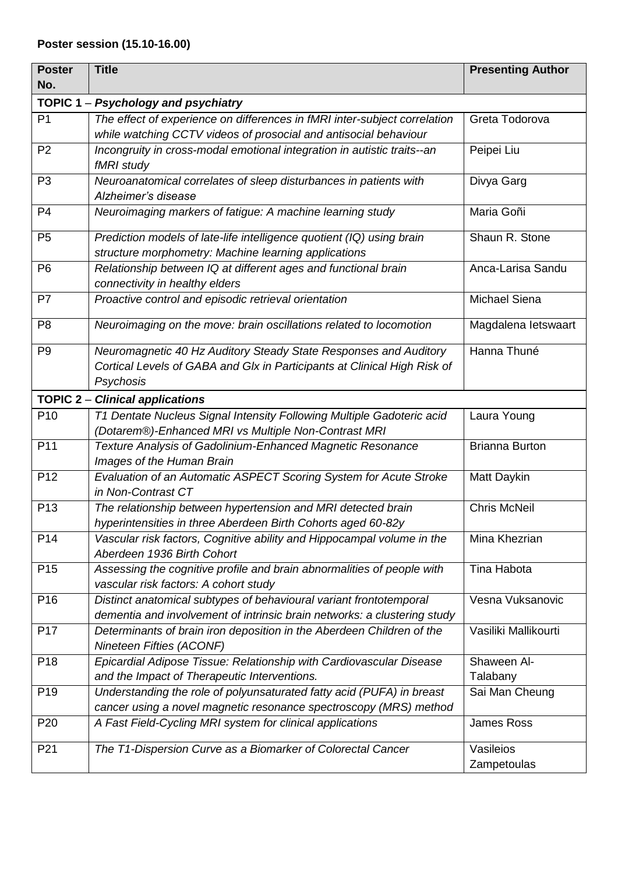# **Poster session (15.10-16.00)**

| <b>Poster</b>   | <b>Title</b>                                                              | <b>Presenting Author</b> |
|-----------------|---------------------------------------------------------------------------|--------------------------|
| No.             |                                                                           |                          |
|                 | TOPIC 1 - Psychology and psychiatry                                       |                          |
| P <sub>1</sub>  | The effect of experience on differences in fMRI inter-subject correlation | Greta Todorova           |
|                 | while watching CCTV videos of prosocial and antisocial behaviour          |                          |
| P <sub>2</sub>  | Incongruity in cross-modal emotional integration in autistic traits--an   | Peipei Liu               |
|                 | fMRI study                                                                |                          |
| P <sub>3</sub>  | Neuroanatomical correlates of sleep disturbances in patients with         | Divya Garg               |
|                 | Alzheimer's disease                                                       |                          |
| P <sub>4</sub>  | Neuroimaging markers of fatigue: A machine learning study                 | Maria Goñi               |
| P <sub>5</sub>  | Prediction models of late-life intelligence quotient (IQ) using brain     | Shaun R. Stone           |
|                 | structure morphometry: Machine learning applications                      |                          |
| P <sub>6</sub>  | Relationship between IQ at different ages and functional brain            | Anca-Larisa Sandu        |
|                 | connectivity in healthy elders                                            |                          |
| P <sub>7</sub>  | Proactive control and episodic retrieval orientation                      | Michael Siena            |
|                 |                                                                           |                          |
| P <sub>8</sub>  | Neuroimaging on the move: brain oscillations related to locomotion        | Magdalena letswaart      |
| P <sub>9</sub>  | Neuromagnetic 40 Hz Auditory Steady State Responses and Auditory          | Hanna Thuné              |
|                 | Cortical Levels of GABA and Glx in Participants at Clinical High Risk of  |                          |
|                 | Psychosis                                                                 |                          |
|                 | <b>TOPIC 2 - Clinical applications</b>                                    |                          |
| P <sub>10</sub> | T1 Dentate Nucleus Signal Intensity Following Multiple Gadoteric acid     | Laura Young              |
|                 | (Dotarem®)-Enhanced MRI vs Multiple Non-Contrast MRI                      |                          |
| P <sub>11</sub> | Texture Analysis of Gadolinium-Enhanced Magnetic Resonance                | <b>Brianna Burton</b>    |
|                 | Images of the Human Brain                                                 |                          |
| P <sub>12</sub> | Evaluation of an Automatic ASPECT Scoring System for Acute Stroke         | Matt Daykin              |
|                 | in Non-Contrast CT                                                        |                          |
| P <sub>13</sub> | The relationship between hypertension and MRI detected brain              | <b>Chris McNeil</b>      |
|                 | hyperintensities in three Aberdeen Birth Cohorts aged 60-82y              |                          |
| P <sub>14</sub> | Vascular risk factors, Cognitive ability and Hippocampal volume in the    | Mina Khezrian            |
|                 | Aberdeen 1936 Birth Cohort                                                |                          |
| P <sub>15</sub> | Assessing the cognitive profile and brain abnormalities of people with    | Tina Habota              |
|                 | vascular risk factors: A cohort study                                     |                          |
| P <sub>16</sub> | Distinct anatomical subtypes of behavioural variant frontotemporal        | Vesna Vuksanovic         |
|                 | dementia and involvement of intrinsic brain networks: a clustering study  |                          |
| P <sub>17</sub> | Determinants of brain iron deposition in the Aberdeen Children of the     | Vasiliki Mallikourti     |
|                 | Nineteen Fifties (ACONF)                                                  |                          |
| P <sub>18</sub> | Epicardial Adipose Tissue: Relationship with Cardiovascular Disease       | Shaween Al-              |
|                 | and the Impact of Therapeutic Interventions.                              | Talabany                 |
| P <sub>19</sub> | Understanding the role of polyunsaturated fatty acid (PUFA) in breast     | Sai Man Cheung           |
|                 | cancer using a novel magnetic resonance spectroscopy (MRS) method         |                          |
| P <sub>20</sub> | A Fast Field-Cycling MRI system for clinical applications                 | James Ross               |
| P <sub>21</sub> | The T1-Dispersion Curve as a Biomarker of Colorectal Cancer               | Vasileios                |
|                 |                                                                           | Zampetoulas              |